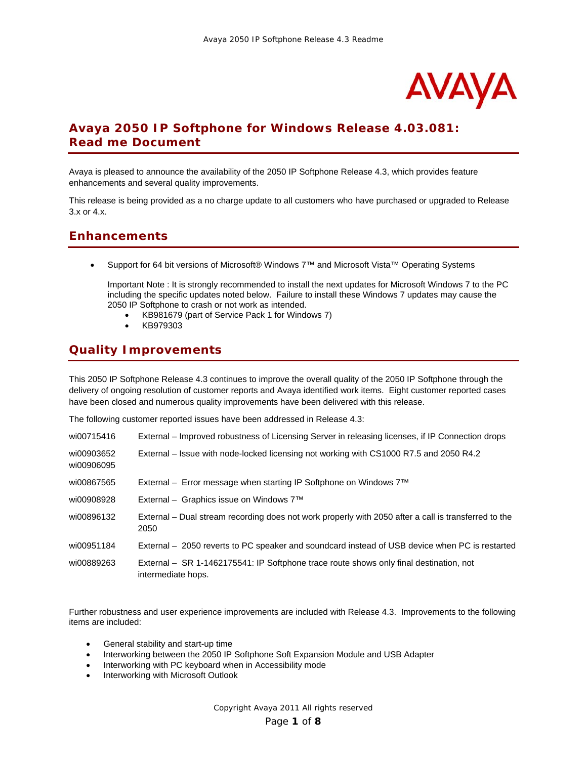

# **Avaya 2050 IP Softphone for Windows Release 4.03.081: Read me Document**

Avaya is pleased to announce the availability of the 2050 IP Softphone Release 4.3, which provides feature enhancements and several quality improvements.

This release is being provided as a no charge update to all customers who have purchased or upgraded to Release 3.x or 4.x.

### **Enhancements**

• Support for 64 bit versions of Microsoft® Windows 7™ and Microsoft Vista™ Operating Systems

Important Note : It is strongly recommended to install the next updates for Microsoft Windows 7 to the PC including the specific updates noted below. Failure to install these Windows 7 updates may cause the 2050 IP Softphone to crash or not work as intended.

- KB981679 (part of Service Pack 1 for Windows 7)
- KB979303

### **Quality Improvements**

This 2050 IP Softphone Release 4.3 continues to improve the overall quality of the 2050 IP Softphone through the delivery of ongoing resolution of customer reports and Avaya identified work items. Eight customer reported cases have been closed and numerous quality improvements have been delivered with this release.

The following customer reported issues have been addressed in Release 4.3:

| wi00715416               | External – Improved robustness of Licensing Server in releasing licenses, if IP Connection drops             |
|--------------------------|--------------------------------------------------------------------------------------------------------------|
| wi00903652<br>wi00906095 | External – Issue with node-locked licensing not working with CS1000 R7.5 and 2050 R4.2                       |
| wi00867565               | External – Error message when starting IP Softphone on Windows $7^{\text{TM}}$                               |
| wi00908928               | External – Graphics issue on Windows $7TM$                                                                   |
| wi00896132               | External – Dual stream recording does not work properly with 2050 after a call is transferred to the<br>2050 |
| wi00951184               | External – 2050 reverts to PC speaker and soundcard instead of USB device when PC is restarted               |
| wi00889263               | External – SR 1-1462175541: IP Softphone trace route shows only final destination, not<br>intermediate hops. |

Further robustness and user experience improvements are included with Release 4.3. Improvements to the following items are included:

- General stability and start-up time
- Interworking between the 2050 IP Softphone Soft Expansion Module and USB Adapter
- Interworking with PC keyboard when in Accessibility mode
- Interworking with Microsoft Outlook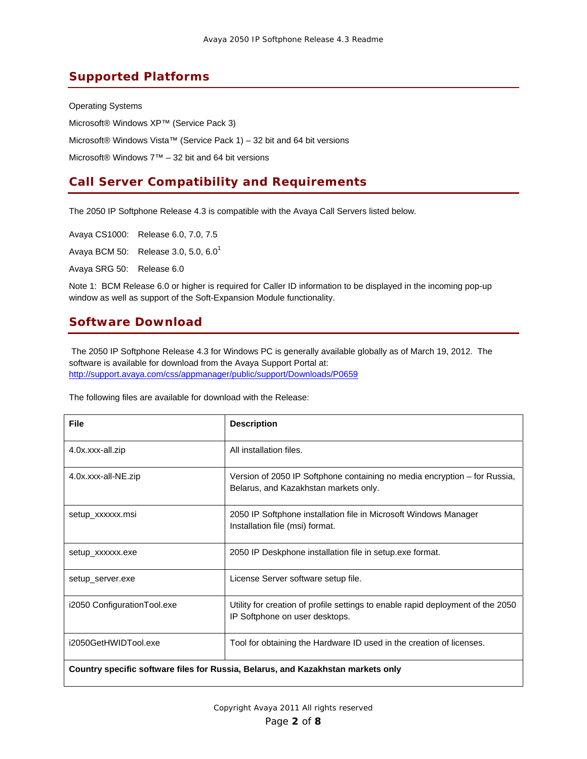# **Supported Platforms**

Operating Systems Microsoft® Windows XP™ (Service Pack 3) Microsoft® Windows Vista™ (Service Pack 1) – 32 bit and 64 bit versions Microsoft® Windows 7™ – 32 bit and 64 bit versions

# **Call Server Compatibility and Requirements**

The 2050 IP Softphone Release 4.3 is compatible with the Avaya Call Servers listed below.

Avaya CS1000: Release 6.0, 7.0, 7.5 Avaya BCM 50: Release 3.0, 5.0, 6.0<sup>1</sup>

Avaya SRG 50: Release 6.0

Note 1: BCM Release 6.0 or higher is required for Caller ID information to be displayed in the incoming pop-up window as well as support of the Soft-Expansion Module functionality.

# **Software Download**

 The 2050 IP Softphone Release 4.3 for Windows PC is generally available globally as of March 19, 2012. The software is available for download from the Avaya Support Portal at: http://support.avaya.com/css/appmanager/public/support/Downloads/P0659

The following files are available for download with the Release:

| <b>File</b>                                                                      | <b>Description</b>                                                                                                 |  |
|----------------------------------------------------------------------------------|--------------------------------------------------------------------------------------------------------------------|--|
| 4.0x.xxx-all.zip                                                                 | All installation files.                                                                                            |  |
| 4.0x.xxx-all-NE.zip                                                              | Version of 2050 IP Softphone containing no media encryption – for Russia,<br>Belarus, and Kazakhstan markets only. |  |
| setup_xxxxxx.msi                                                                 | 2050 IP Softphone installation file in Microsoft Windows Manager<br>Installation file (msi) format.                |  |
| setup_xxxxxx.exe                                                                 | 2050 IP Deskphone installation file in setup exe format.                                                           |  |
| setup_server.exe                                                                 | License Server software setup file.                                                                                |  |
| i2050 Configuration Tool.exe                                                     | Utility for creation of profile settings to enable rapid deployment of the 2050<br>IP Softphone on user desktops.  |  |
| i2050GetHWIDTool.exe                                                             | Tool for obtaining the Hardware ID used in the creation of licenses.                                               |  |
| Country specific software files for Russia, Belarus, and Kazakhstan markets only |                                                                                                                    |  |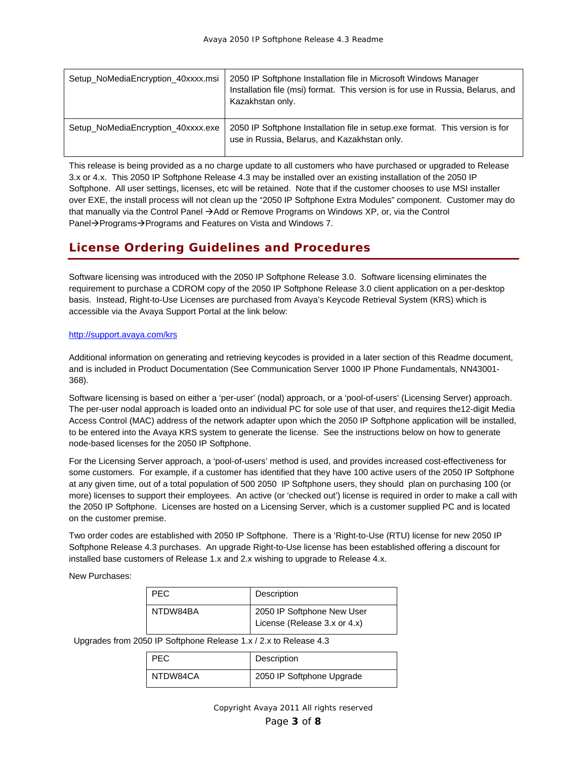| Setup_NoMediaEncryption_40xxxx.msi | 2050 IP Softphone Installation file in Microsoft Windows Manager<br>Installation file (msi) format. This version is for use in Russia, Belarus, and<br>Kazakhstan only. |
|------------------------------------|-------------------------------------------------------------------------------------------------------------------------------------------------------------------------|
| Setup NoMediaEncryption 40xxxx.exe | 2050 IP Softphone Installation file in setup exe format. This version is for<br>use in Russia, Belarus, and Kazakhstan only.                                            |

This release is being provided as a no charge update to all customers who have purchased or upgraded to Release 3.x or 4.x. This 2050 IP Softphone Release 4.3 may be installed over an existing installation of the 2050 IP Softphone. All user settings, licenses, etc will be retained. Note that if the customer chooses to use MSI installer over EXE, the install process will not clean up the "2050 IP Softphone Extra Modules" component. Customer may do that manually via the Control Panel  $\rightarrow$  Add or Remove Programs on Windows XP, or, via the Control Panel→Programs→Programs and Features on Vista and Windows 7.

# **License Ordering Guidelines and Procedures**

Software licensing was introduced with the 2050 IP Softphone Release 3.0. Software licensing eliminates the requirement to purchase a CDROM copy of the 2050 IP Softphone Release 3.0 client application on a per-desktop basis. Instead, Right-to-Use Licenses are purchased from Avaya's Keycode Retrieval System (KRS) which is accessible via the Avaya Support Portal at the link below:

#### http://support.avaya.com/krs

Additional information on generating and retrieving keycodes is provided in a later section of this Readme document, and is included in Product Documentation (See Communication Server 1000 IP Phone Fundamentals, NN43001- 368).

Software licensing is based on either a 'per-user' (nodal) approach, or a 'pool-of-users' (Licensing Server) approach. The per-user nodal approach is loaded onto an individual PC for sole use of that user, and requires the12-digit Media Access Control (MAC) address of the network adapter upon which the 2050 IP Softphone application will be installed, to be entered into the Avaya KRS system to generate the license. See the instructions below on how to generate node-based licenses for the 2050 IP Softphone.

For the Licensing Server approach, a 'pool-of-users' method is used, and provides increased cost-effectiveness for some customers. For example, if a customer has identified that they have 100 active users of the 2050 IP Softphone at any given time, out of a total population of 500 2050 IP Softphone users, they should plan on purchasing 100 (or more) licenses to support their employees. An active (or 'checked out') license is required in order to make a call with the 2050 IP Softphone. Licenses are hosted on a Licensing Server, which is a customer supplied PC and is located on the customer premise.

Two order codes are established with 2050 IP Softphone. There is a 'Right-to-Use (RTU) license for new 2050 IP Softphone Release 4.3 purchases. An upgrade Right-to-Use license has been established offering a discount for installed base customers of Release 1.x and 2.x wishing to upgrade to Release 4.x.

New Purchases:

| PEC.     | Description                                                |
|----------|------------------------------------------------------------|
| NTDW84BA | 2050 IP Softphone New User<br>License (Release 3.x or 4.x) |

Upgrades from 2050 IP Softphone Release 1.x / 2.x to Release 4.3

| PEC.     | Description               |
|----------|---------------------------|
| NTDW84CA | 2050 IP Softphone Upgrade |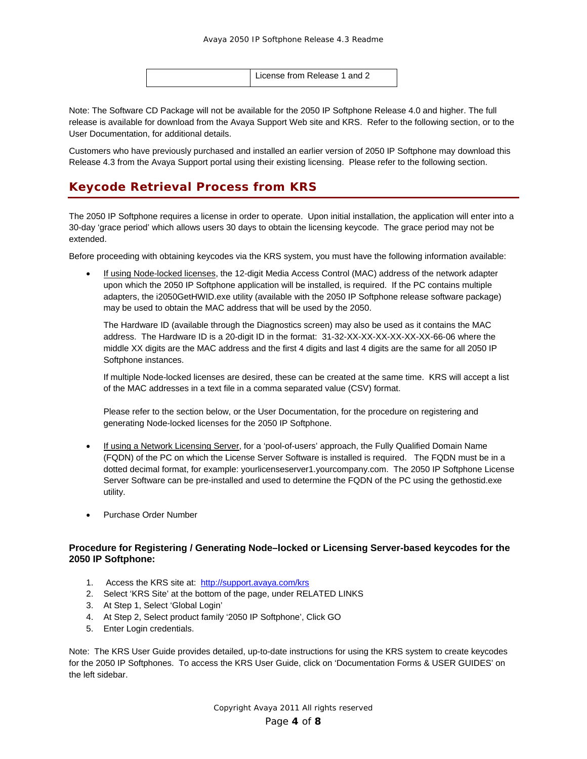|  | License from Release 1 and 2 |
|--|------------------------------|
|--|------------------------------|

Note: The Software CD Package will not be available for the 2050 IP Softphone Release 4.0 and higher. The full release is available for download from the Avaya Support Web site and KRS. Refer to the following section, or to the User Documentation, for additional details.

Customers who have previously purchased and installed an earlier version of 2050 IP Softphone may download this Release 4.3 from the Avaya Support portal using their existing licensing. Please refer to the following section.

## **Keycode Retrieval Process from KRS**

The 2050 IP Softphone requires a license in order to operate. Upon initial installation, the application will enter into a 30-day 'grace period' which allows users 30 days to obtain the licensing keycode. The grace period may not be extended.

Before proceeding with obtaining keycodes via the KRS system, you must have the following information available:

• If using Node-locked licenses, the 12-digit Media Access Control (MAC) address of the network adapter upon which the 2050 IP Softphone application will be installed, is required. If the PC contains multiple adapters, the i2050GetHWID.exe utility (available with the 2050 IP Softphone release software package) may be used to obtain the MAC address that will be used by the 2050.

The Hardware ID (available through the Diagnostics screen) may also be used as it contains the MAC address. The Hardware ID is a 20-digit ID in the format: 31-32-XX-XX-XX-XX-XX-XX-66-06 where the middle XX digits are the MAC address and the first 4 digits and last 4 digits are the same for all 2050 IP Softphone instances.

If multiple Node-locked licenses are desired, these can be created at the same time. KRS will accept a list of the MAC addresses in a text file in a comma separated value (CSV) format.

Please refer to the section below, or the User Documentation, for the procedure on registering and generating Node-locked licenses for the 2050 IP Softphone.

- If using a Network Licensing Server, for a 'pool-of-users' approach, the Fully Qualified Domain Name (FQDN) of the PC on which the License Server Software is installed is required. The FQDN must be in a dotted decimal format, for example: yourlicenseserver1.yourcompany.com. The 2050 IP Softphone License Server Software can be pre-installed and used to determine the FQDN of the PC using the gethostid.exe utility.
- Purchase Order Number

#### **Procedure for Registering / Generating Node–locked or Licensing Server-based keycodes for the 2050 IP Softphone:**

- 1. Access the KRS site at: http://support.avaya.com/krs
- 2. Select 'KRS Site' at the bottom of the page, under RELATED LINKS
- 3. At Step 1, Select 'Global Login'
- 4. At Step 2, Select product family '2050 IP Softphone', Click GO
- 5. Enter Login credentials.

Note: The KRS User Guide provides detailed, up-to-date instructions for using the KRS system to create keycodes for the 2050 IP Softphones. To access the KRS User Guide, click on 'Documentation Forms & USER GUIDES' on the left sidebar.

> Copyright Avaya 2011 All rights reserved Page **4** of **8**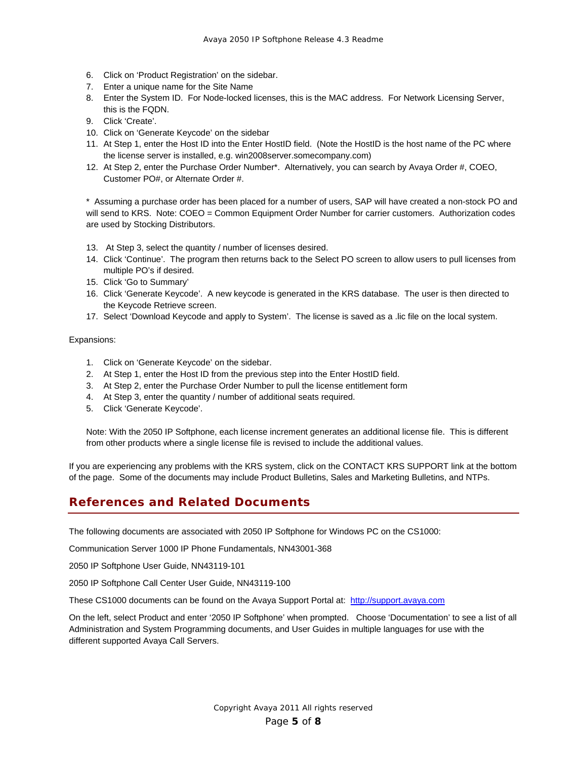- 6. Click on 'Product Registration' on the sidebar.
- 7. Enter a unique name for the Site Name
- 8. Enter the System ID. For Node-locked licenses, this is the MAC address. For Network Licensing Server, this is the FQDN.
- 9. Click 'Create'.
- 10. Click on 'Generate Keycode' on the sidebar
- 11. At Step 1, enter the Host ID into the Enter HostID field. (Note the HostID is the host name of the PC where the license server is installed, e.g. win2008server.somecompany.com)
- 12. At Step 2, enter the Purchase Order Number\*. Alternatively, you can search by Avaya Order #, COEO, Customer PO#, or Alternate Order #.

\* Assuming a purchase order has been placed for a number of users, SAP will have created a non-stock PO and will send to KRS. Note: COEO = Common Equipment Order Number for carrier customers. Authorization codes are used by Stocking Distributors.

- 13. At Step 3, select the quantity / number of licenses desired.
- 14. Click 'Continue'. The program then returns back to the Select PO screen to allow users to pull licenses from multiple PO's if desired.
- 15. Click 'Go to Summary'
- 16. Click 'Generate Keycode'. A new keycode is generated in the KRS database. The user is then directed to the Keycode Retrieve screen.
- 17. Select 'Download Keycode and apply to System'. The license is saved as a .lic file on the local system.

#### Expansions:

- 1. Click on 'Generate Keycode' on the sidebar.
- 2. At Step 1, enter the Host ID from the previous step into the Enter HostID field.
- 3. At Step 2, enter the Purchase Order Number to pull the license entitlement form
- 4. At Step 3, enter the quantity / number of additional seats required.
- 5. Click 'Generate Keycode'.

Note: With the 2050 IP Softphone, each license increment generates an additional license file. This is different from other products where a single license file is revised to include the additional values.

If you are experiencing any problems with the KRS system, click on the CONTACT KRS SUPPORT link at the bottom of the page. Some of the documents may include Product Bulletins, Sales and Marketing Bulletins, and NTPs.

#### **References and Related Documents**

The following documents are associated with 2050 IP Softphone for Windows PC on the CS1000:

Communication Server 1000 IP Phone Fundamentals, NN43001-368

2050 IP Softphone User Guide, NN43119-101

2050 IP Softphone Call Center User Guide, NN43119-100

These CS1000 documents can be found on the Avaya Support Portal at: http://support.avaya.com

On the left, select Product and enter '2050 IP Softphone' when prompted. Choose 'Documentation' to see a list of all Administration and System Programming documents, and User Guides in multiple languages for use with the different supported Avaya Call Servers.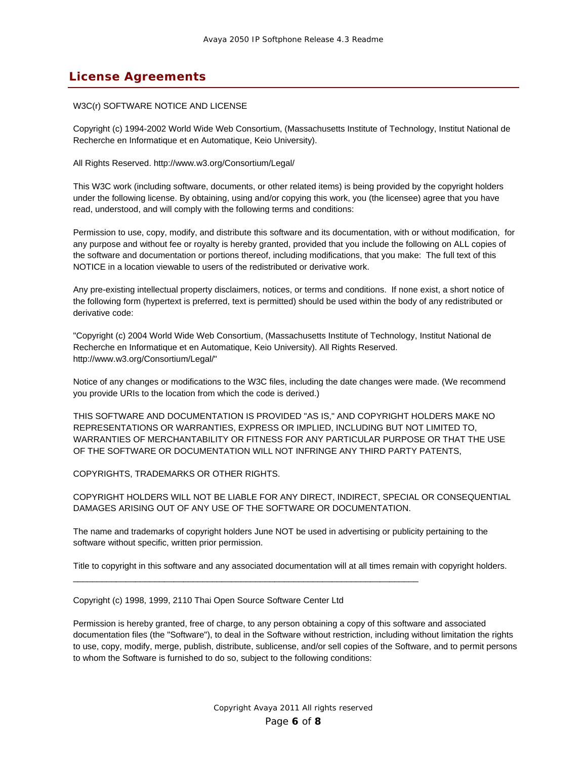## **License Agreements**

#### W3C(r) SOFTWARE NOTICE AND LICENSE

Copyright (c) 1994-2002 World Wide Web Consortium, (Massachusetts Institute of Technology, Institut National de Recherche en Informatique et en Automatique, Keio University).

All Rights Reserved. http://www.w3.org/Consortium/Legal/

This W3C work (including software, documents, or other related items) is being provided by the copyright holders under the following license. By obtaining, using and/or copying this work, you (the licensee) agree that you have read, understood, and will comply with the following terms and conditions:

Permission to use, copy, modify, and distribute this software and its documentation, with or without modification, for any purpose and without fee or royalty is hereby granted, provided that you include the following on ALL copies of the software and documentation or portions thereof, including modifications, that you make: The full text of this NOTICE in a location viewable to users of the redistributed or derivative work.

Any pre-existing intellectual property disclaimers, notices, or terms and conditions. If none exist, a short notice of the following form (hypertext is preferred, text is permitted) should be used within the body of any redistributed or derivative code:

"Copyright (c) 2004 World Wide Web Consortium, (Massachusetts Institute of Technology, Institut National de Recherche en Informatique et en Automatique, Keio University). All Rights Reserved. http://www.w3.org/Consortium/Legal/"

Notice of any changes or modifications to the W3C files, including the date changes were made. (We recommend you provide URIs to the location from which the code is derived.)

THIS SOFTWARE AND DOCUMENTATION IS PROVIDED "AS IS," AND COPYRIGHT HOLDERS MAKE NO REPRESENTATIONS OR WARRANTIES, EXPRESS OR IMPLIED, INCLUDING BUT NOT LIMITED TO, WARRANTIES OF MERCHANTABILITY OR FITNESS FOR ANY PARTICULAR PURPOSE OR THAT THE USE OF THE SOFTWARE OR DOCUMENTATION WILL NOT INFRINGE ANY THIRD PARTY PATENTS,

COPYRIGHTS, TRADEMARKS OR OTHER RIGHTS.

COPYRIGHT HOLDERS WILL NOT BE LIABLE FOR ANY DIRECT, INDIRECT, SPECIAL OR CONSEQUENTIAL DAMAGES ARISING OUT OF ANY USE OF THE SOFTWARE OR DOCUMENTATION.

The name and trademarks of copyright holders June NOT be used in advertising or publicity pertaining to the software without specific, written prior permission.

Title to copyright in this software and any associated documentation will at all times remain with copyright holders.

Copyright (c) 1998, 1999, 2110 Thai Open Source Software Center Ltd

\_\_\_\_\_\_\_\_\_\_\_\_\_\_\_\_\_\_\_\_\_\_\_\_\_\_\_\_\_\_\_\_\_\_\_\_\_\_\_\_\_\_\_\_\_\_\_\_\_\_\_\_\_\_\_\_\_\_\_\_\_\_\_\_\_\_\_\_\_\_\_\_

Permission is hereby granted, free of charge, to any person obtaining a copy of this software and associated documentation files (the "Software"), to deal in the Software without restriction, including without limitation the rights to use, copy, modify, merge, publish, distribute, sublicense, and/or sell copies of the Software, and to permit persons to whom the Software is furnished to do so, subject to the following conditions: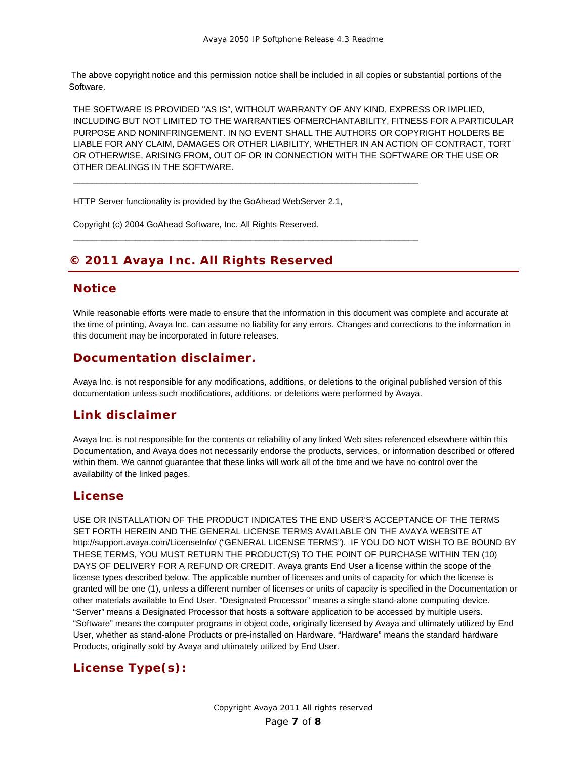The above copyright notice and this permission notice shall be included in all copies or substantial portions of the Software.

THE SOFTWARE IS PROVIDED "AS IS", WITHOUT WARRANTY OF ANY KIND, EXPRESS OR IMPLIED, INCLUDING BUT NOT LIMITED TO THE WARRANTIES OFMERCHANTABILITY, FITNESS FOR A PARTICULAR PURPOSE AND NONINFRINGEMENT. IN NO EVENT SHALL THE AUTHORS OR COPYRIGHT HOLDERS BE LIABLE FOR ANY CLAIM, DAMAGES OR OTHER LIABILITY, WHETHER IN AN ACTION OF CONTRACT, TORT OR OTHERWISE, ARISING FROM, OUT OF OR IN CONNECTION WITH THE SOFTWARE OR THE USE OR OTHER DEALINGS IN THE SOFTWARE.

HTTP Server functionality is provided by the GoAhead WebServer 2.1,

 $\_$  , and the set of the set of the set of the set of the set of the set of the set of the set of the set of the set of the set of the set of the set of the set of the set of the set of the set of the set of the set of th

 $\_$  , and the set of the set of the set of the set of the set of the set of the set of the set of the set of the set of the set of the set of the set of the set of the set of the set of the set of the set of the set of th

Copyright (c) 2004 GoAhead Software, Inc. All Rights Reserved.

# **© 2011 Avaya Inc. All Rights Reserved**

#### **Notice**

While reasonable efforts were made to ensure that the information in this document was complete and accurate at the time of printing, Avaya Inc. can assume no liability for any errors. Changes and corrections to the information in this document may be incorporated in future releases.

#### **Documentation disclaimer.**

Avaya Inc. is not responsible for any modifications, additions, or deletions to the original published version of this documentation unless such modifications, additions, or deletions were performed by Avaya.

### **Link disclaimer**

Avaya Inc. is not responsible for the contents or reliability of any linked Web sites referenced elsewhere within this Documentation, and Avaya does not necessarily endorse the products, services, or information described or offered within them. We cannot guarantee that these links will work all of the time and we have no control over the availability of the linked pages.

### **License**

USE OR INSTALLATION OF THE PRODUCT INDICATES THE END USER'S ACCEPTANCE OF THE TERMS SET FORTH HEREIN AND THE GENERAL LICENSE TERMS AVAILABLE ON THE AVAYA WEBSITE AT http://support.avaya.com/LicenseInfo/ ("GENERAL LICENSE TERMS"). IF YOU DO NOT WISH TO BE BOUND BY THESE TERMS, YOU MUST RETURN THE PRODUCT(S) TO THE POINT OF PURCHASE WITHIN TEN (10) DAYS OF DELIVERY FOR A REFUND OR CREDIT. Avaya grants End User a license within the scope of the license types described below. The applicable number of licenses and units of capacity for which the license is granted will be one (1), unless a different number of licenses or units of capacity is specified in the Documentation or other materials available to End User. "Designated Processor" means a single stand-alone computing device. "Server" means a Designated Processor that hosts a software application to be accessed by multiple users. "Software" means the computer programs in object code, originally licensed by Avaya and ultimately utilized by End User, whether as stand-alone Products or pre-installed on Hardware. "Hardware" means the standard hardware Products, originally sold by Avaya and ultimately utilized by End User.

# **License Type(s):**